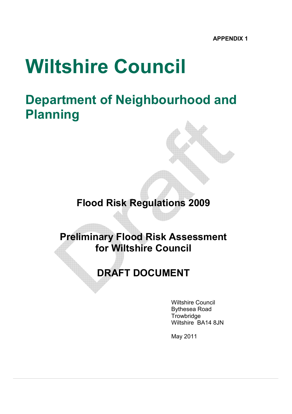# Wiltshire Council

# Department of Neighbourhood and Planning

# Flood Risk Regulations 2009

## Preliminary Flood Risk Assessment for Wiltshire Council

# DRAFT DOCUMENT

 Wiltshire Council Bythesea Road **Trowbridge** Wiltshire BA14 8JN

May 2011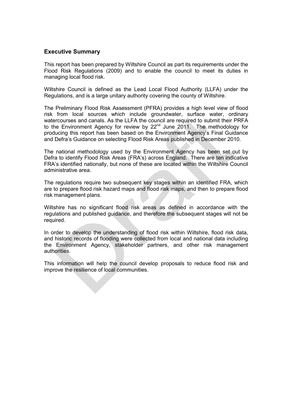#### Executive Summary

This report has been prepared by Wiltshire Council as part its requirements under the Flood Risk Regulations (2009) and to enable the council to meet its duties in managing local flood risk.

Wiltshire Council is defined as the Lead Local Flood Authority (LLFA) under the Regulations, and is a large unitary authority covering the county of Wiltshire.

The Preliminary Flood Risk Assessment (PFRA) provides a high level view of flood risk from local sources which include groundwater, surface water, ordinary watercourses and canals. As the LLFA the council are required to submit their PRFA to the Environment Agency for review by  $22<sup>nd</sup>$  June  $2011$ . The methodology for producing this report has been based on the Environment Agency's Final Guidance and Defra's Guidance on selecting Flood Risk Areas published in December 2010.

The national methodology used by the Environment Agency has been set out by Defra to identify Flood Risk Areas (FRA's) across England. There are ten indicative FRA's identified nationally, but none of these are located within the Wiltshire Council administrative area.

The regulations require two subsequent key stages within an identified FRA, which are to prepare flood risk hazard maps and flood risk maps, and then to prepare flood risk management plans.

Wiltshire has no significant flood risk areas as defined in accordance with the regulations and published guidance, and therefore the subsequent stages will not be required.

In order to develop the understanding of flood risk within Wiltshire, flood risk data, and historic records of flooding were collected from local and national data including the Environment Agency, stakeholder partners, and other risk management authorities.

This information will help the council develop proposals to reduce flood risk and improve the resilience of local communities.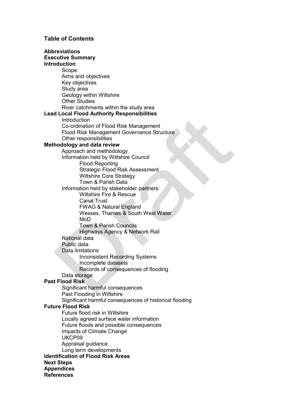#### Table of Contents

Abbreviations Executive Summary Introduction Scope Aims and objectives Key objectives Study area Geology within Wiltshire Other Studies River catchments within the study area Lead Local Flood Authority Responsibilities **Introduction**  Co-ordination of Flood Risk Management Flood Risk Management Governance Structure Other responsibilities Methodology and data review Approach and methodology Information held by Wiltshire Council Flood Reporting Strategic Flood Risk Assessment Wiltshire Core Strategy Town & Parish Data Information held by stakeholder partners Wiltshire Fire & Rescue Canal Trust FWAG & Natural England Wessex, Thames & South West Water MoD Town & Parish Councils Highways Agency & Network Rail National data Public data Data limitations Inconsistent Recording Systems Incomplete datasets Records of consequences of flooding Data storage Past Flood Risk Significant harmful consequences Past Flooding in Wiltshire Significant harmful consequences of historical flooding Future Flood Risk Future flood risk in Wiltshire Locally agreed surface water information Future floods and possible consequences Impacts of Climate Change UKCP09 Appraisal guidance Long term developments Identification of Flood Risk Areas Next Steps **Appendices** References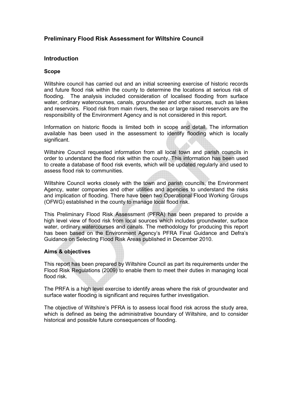#### Preliminary Flood Risk Assessment for Wiltshire Council

#### Introduction

#### Scope

Wiltshire council has carried out and an initial screening exercise of historic records and future flood risk within the county to determine the locations at serious risk of flooding. The analysis included consideration of localised flooding from surface water, ordinary watercourses, canals, groundwater and other sources, such as lakes and reservoirs. Flood risk from main rivers, the sea or large raised reservoirs are the responsibility of the Environment Agency and is not considered in this report.

Information on historic floods is limited both in scope and detail. The information available has been used in the assessment to identify flooding which is locally significant.

Wiltshire Council requested information from all local town and parish councils in order to understand the flood risk within the county. This information has been used to create a database of flood risk events, which will be updated regularly and used to assess flood risk to communities.

Wiltshire Council works closely with the town and parish councils, the Environment Agency, water companies and other utilities and agencies to understand the risks and implication of flooding. There have been two Operational Flood Working Groups (OFWG) established in the county to manage local flood risk.

This Preliminary Flood Risk Assessment (PFRA) has been prepared to provide a high level view of flood risk from local sources which includes groundwater, surface water, ordinary watercourses and canals. The methodology for producing this report has been based on the Environment Agency's PFRA Final Guidance and Defra's Guidance on Selecting Flood Risk Areas published in December 2010.

#### Aims & objectives

This report has been prepared by Wiltshire Council as part its requirements under the Flood Risk Regulations (2009) to enable them to meet their duties in managing local flood risk.

The PRFA is a high level exercise to identify areas where the risk of groundwater and surface water flooding is significant and requires further investigation.

The objective of Wiltshire's PFRA is to assess local flood risk across the study area, which is defined as being the administrative boundary of Wiltshire, and to consider historical and possible future consequences of flooding.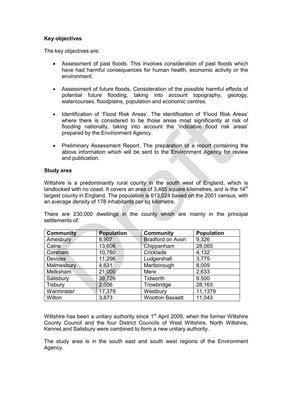#### Key objectives

The key objectives are:

- Assessment of past floods. This involves consideration of past floods which have had harmful consequences for human health, economic activity or the environment.
- Assessment of future floods. Consideration of the possible harmful effects of potential future flooding, taking into account topography, geology, watercourses, floodplains, population and economic centres.
- Identification of 'Flood Risk Areas'. The identification of 'Flood Risk Areas' where there is considered to be those areas most significantly at risk of flooding nationally, taking into account the 'indicative flood risk areas' prepared by the Environment Agency.
- Preliminary Assessment Report. The preparation of a report containing the above information which will be sent to the Environment Agency for review and publication.

#### Study area

Wiltshire is a predominantly rural county in the south west of England, which is landlocked with no coast. It covers an area of 3.485 square kilometres, and is the  $14<sup>th</sup>$ largest county in England. The population is 613,024 based on the 2001 census, with an average density of 178 inhabitants per sq kilometre.

There are 230,000 dwellings in the county which are mainly in the principal settlements of:

| <b>Community</b> | <b>Population</b> | <b>Community</b>        | <b>Population</b> |
|------------------|-------------------|-------------------------|-------------------|
| Amesbury         | 8,907             | <b>Bradford on Avon</b> | 9,326             |
| Calne            | 13,606            | Chippenham              | 28,065            |
| Corsham          | 10,780            | Cricklade               | 4,132             |
| <b>Devizes</b>   | 11,296            | Ludgershall             | 3,775             |
| Malmesbury       | 4,631             | Marlborough             | 8,009             |
| Melksham         | 21,000            | Mere                    | 2,633             |
| Salisbury        | 39,726            | Tidworth                | 9.500             |
| Tisbury          | 2,056             | Trowbridge              | 28,163            |
| Warminster       | 17,379            | Westbury                | 11,1379           |
| Wilton           | 3,873             | <b>Wootton Bassett</b>  | 11,043            |

Wiltshire has been a unitary authority since  $1<sup>st</sup>$  April 2009, when the former Wiltshire County Council and the four District Councils of West Wiltshire, North Wiltshire, Kennet and Salisbury were combined to form a new unitary authority.

The study area is in the south east and south west regions of the Environment Agency.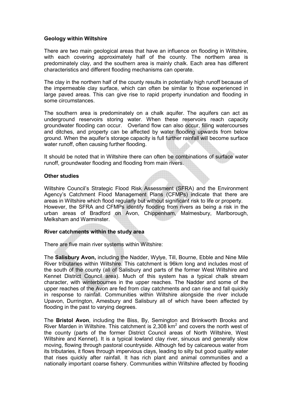#### Geology within Wiltshire

There are two main geological areas that have an influence on flooding in Wiltshire, with each covering approximately half of the county. The northern area is predominately clay, and the southern area is mainly chalk. Each area has different characteristics and different flooding mechanisms can operate.

The clay in the northern half of the county results in potentially high runoff because of the impermeable clay surface, which can often be similar to those experienced in large paved areas. This can give rise to rapid property inundation and flooding in some circumstances.

The southern area is predominately on a chalk aquifer. The aquifers can act as underground reservoirs storing water. When these reservoirs reach capacity groundwater flooding can occur. Overland flow can also occur, filling watercourses and ditches, and property can be affected by water flooding upwards from below ground. When the aquifer's storage capacity is full further rainfall will become surface water runoff, often causing further flooding.

It should be noted that in Wiltshire there can often be combinations of surface water runoff, groundwater flooding and flooding from main rivers.

#### Other studies

Wiltshire Council's Strategic Flood Risk Assessment (SFRA) and the Environment Agency's Catchment Flood Management Plans (CFMPs) indicate that there are areas in Wiltshire which flood regularly but without significant risk to life or property. However, the SFRA and CFMPs identify flooding from rivers as being a risk in the urban areas of Bradford on Avon, Chippenham, Malmesbury, Marlborough, Melksham and Warminster.

#### River catchments within the study area

There are five main river systems within Wiltshire:

The Salisbury Avon, including the Nadder, Wylye, Till, Bourne, Ebble and Nine Mile River tributaries within Wiltshire. This catchment is 96km long and includes most of the south of the county (all of Salisbury and parts of the former West Wiltshire and Kennet District Council area). Much of this system has a typical chalk stream character, with winterbournes in the upper reaches. The Nadder and some of the upper reaches of the Avon are fed from clay catchments and can rise and fall quickly in response to rainfall. Communities within Wiltshire alongside the river include Upavon, Durrington, Amesbury and Salisbury all of which have been affected by flooding in the past to varying degrees.

The Bristol Avon, including the Biss, By, Semington and Brinkworth Brooks and River Marden in Wiltshire. This catchment is 2,308  $km<sup>2</sup>$  and covers the north west of the county (parts of the former District Council areas of North Wiltshire, West Wiltshire and Kennet). It is a typical lowland clay river, sinuous and generally slow moving, flowing through pastoral countryside. Although fed by calcareous water from its tributaries, it flows through impervious clays, leading to silty but good quality water that rises quickly after rainfall. It has rich plant and animal communities and a nationally important coarse fishery. Communities within Wiltshire affected by flooding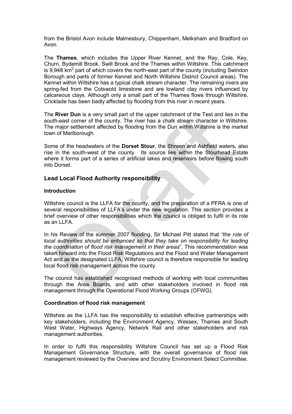from the Bristol Avon include Malmesbury, Chippenham, Melksham and Bradford on Avon.

The Thames, which includes the Upper River Kennet, and the Ray, Cole, Key, Churn, Bydemill Brook, Swill Brook and the Thames within Wiltshire. This catchment is 9,948  $\text{km}^2$  part of which covers the north-east part of the county (including Swindon Borough and parts of former Kennet and North Wiltshire District Council areas). The Kennet within Wiltshire has a typical chalk stream character. The remaining rivers are spring-fed from the Cotswold limestone and are lowland clay rivers influenced by calcareous clays. Although only a small part of the Thames flows through Wiltshire, Cricklade has been badly affected by flooding from this river in recent years.

The River Dun is a very small part of the upper catchment of the Test and lies in the south-east corner of the county. The river has a chalk stream character in Wiltshire. The major settlement affected by flooding from the Dun within Wiltshire is the market town of Marlborough.

Some of the headwaters of the Dorset Stour, the Shreen and Ashfield waters, also rise in the south-west of the county. Its source lies within the Stourhead Estate where it forms part of a series of artificial lakes and reservoirs before flowing south into Dorset.

#### Lead Local Flood Authority responsibility

#### Introduction

Wiltshire council is the LLFA for the county, and the preparation of a PFRA is one of several responsibilities of LLFA's under the new legislation. This section provides a brief overview of other responsibilities which the council is obliged to fulfil in its role as an LLFA.

In his Review of the summer 2007 flooding, Sir Michael Pitt stated that "the role of local authorities should be enhanced so that they take on responsibility for leading the coordination of flood risk management in their areas". This recommendation was taken forward into the Flood Risk Regulations and the Flood and Water Management Act and as the designated LLFA, Wiltshire council is therefore responsible for leading local flood risk management across the county.

The council has established recognised methods of working with local communities through the Area Boards, and with other stakeholders involved in flood risk management through the Operational Flood Working Groups (OFWG).

#### Coordination of flood risk management

Wiltshire as the LLFA has the responsibility to establish effective partnerships with key stakeholders, including the Environment Agency, Wessex, Thames and South West Water, Highways Agency, Network Rail and other stakeholders and risk management authorities.

In order to fulfil this responsibility Wiltshire Council has set up a Flood Risk Management Governance Structure, with the overall governance of flood risk management reviewed by the Overview and Scrutiny Environment Select Committee.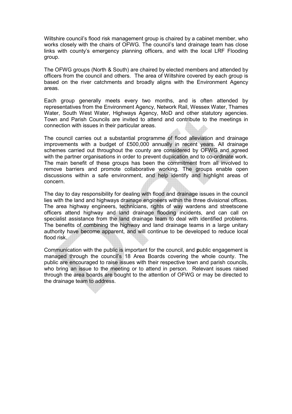Wiltshire council's flood risk management group is chaired by a cabinet member, who works closely with the chairs of OFWG. The council's land drainage team has close links with county's emergency planning officers, and with the local LRF Flooding group.

The OFWG groups (North & South) are chaired by elected members and attended by officers from the council and others. The area of Wiltshire covered by each group is based on the river catchments and broadly aligns with the Environment Agency areas.

Each group generally meets every two months, and is often attended by representatives from the Environment Agency, Network Rail, Wessex Water, Thames Water, South West Water, Highways Agency, MoD and other statutory agencies. Town and Parish Councils are invited to attend and contribute to the meetings in connection with issues in their particular areas.

The council carries out a substantial programme of flood alleviation and drainage improvements with a budget of £500,000 annually in recent years. All drainage schemes carried out throughout the county are considered by OFWG and agreed with the partner organisations in order to prevent duplication and to co-ordinate work. The main benefit of these groups has been the commitment from all involved to remove barriers and promote collaborative working. The groups enable open discussions within a safe environment, and help identify and highlight areas of concern.

The day to day responsibility for dealing with flood and drainage issues in the council lies with the land and highways drainage engineers within the three divisional offices. The area highway engineers, technicians, rights of way wardens and streetscene officers attend highway and land drainage flooding incidents, and can call on specialist assistance from the land drainage team to deal with identified problems. The benefits of combining the highway and land drainage teams in a large unitary authority have become apparent, and will continue to be developed to reduce local flood risk.

Communication with the public is important for the council, and public engagement is managed through the council's 18 Area Boards covering the whole county. The public are encouraged to raise issues with their respective town and parish councils, who bring an issue to the meeting or to attend in person. Relevant issues raised through the area boards are bought to the attention of OFWG or may be directed to the drainage team to address.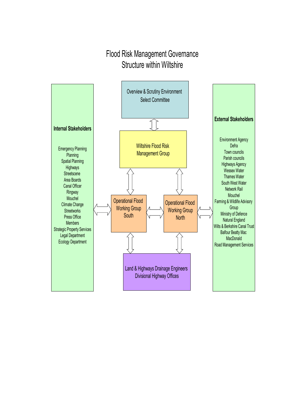### Flood Risk Management Governance Structure within Wiltshire

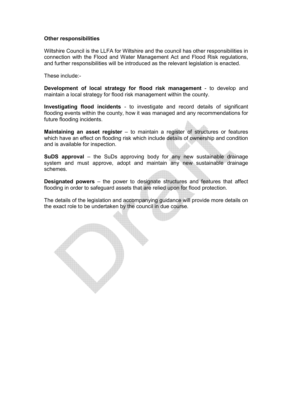#### Other responsibilities

Wiltshire Council is the LLFA for Wiltshire and the council has other responsibilities in connection with the Flood and Water Management Act and Flood Risk regulations, and further responsibilities will be introduced as the relevant legislation is enacted.

These include:-

Development of local strategy for flood risk management - to develop and maintain a local strategy for flood risk management within the county.

Investigating flood incidents - to investigate and record details of significant flooding events within the county, how it was managed and any recommendations for future flooding incidents.

Maintaining an asset register – to maintain a register of structures or features which have an effect on flooding risk which include details of ownership and condition and is available for inspection.

SuDS approval – the SuDs approving body for any new sustainable drainage system and must approve, adopt and maintain any new sustainable drainage schemes.

Designated powers – the power to designate structures and features that affect flooding in order to safeguard assets that are relied upon for flood protection.

The details of the legislation and accompanying guidance will provide more details on the exact role to be undertaken by the council in due course.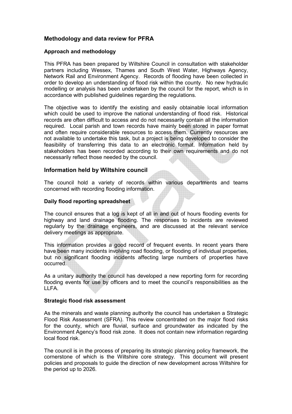#### Methodology and data review for PFRA

#### Approach and methodology

This PFRA has been prepared by Wiltshire Council in consultation with stakeholder partners including Wessex, Thames and South West Water, Highways Agency, Network Rail and Environment Agency. Records of flooding have been collected in order to develop an understanding of flood risk within the county. No new hydraulic modelling or analysis has been undertaken by the council for the report, which is in accordance with published guidelines regarding the regulations.

The objective was to identify the existing and easily obtainable local information which could be used to improve the national understanding of flood risk. Historical records are often difficult to access and do not necessarily contain all the information required. Local parish and town records have mainly been stored in paper format and often require considerable resources to access them. Currently resources are not available to undertake this task, but a project is being developed to consider the feasibility of transferring this data to an electronic format. Information held by stakeholders has been recorded according to their own requirements and do not necessarily reflect those needed by the council.

#### Information held by Wiltshire council

The council hold a variety of records within various departments and teams concerned with recording flooding information.

#### Daily flood reporting spreadsheet

The council ensures that a log is kept of all in and out of hours flooding events for highway and land drainage flooding. The responses to incidents are reviewed regularly by the drainage engineers, and are discussed at the relevant service delivery meetings as appropriate.

This information provides a good record of frequent events. In recent years there have been many incidents involving road flooding, or flooding of individual properties, but no significant flooding incidents affecting large numbers of properties have occurred.

As a unitary authority the council has developed a new reporting form for recording flooding events for use by officers and to meet the council's responsibilities as the LLFA.

#### Strategic flood risk assessment

As the minerals and waste planning authority the council has undertaken a Strategic Flood Risk Assessment (SFRA). This review concentrated on the major flood risks for the county, which are fluvial, surface and groundwater as indicated by the Environment Agency's flood risk zone. It does not contain new information regarding local flood risk.

The council is in the process of preparing its strategic planning policy framework, the cornerstone of which is the Wiltshire core strategy. This document will present policies and proposals to guide the direction of new development across Wiltshire for the period up to 2026.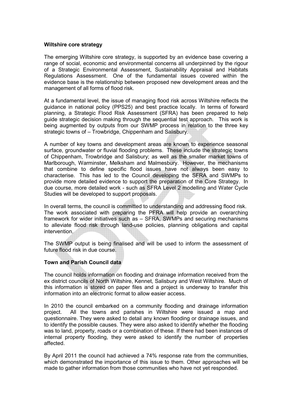#### Wiltshire core strategy

The emerging Wiltshire core strategy, is supported by an evidence base covering a range of social, economic and environmental concerns all underpinned by the rigour of a Strategic Environmental Assessment, Sustainability Appraisal and Habitats Regulations Assessment. One of the fundamental issues covered within the evidence base is the relationship between proposed new development areas and the management of all forms of flood risk.

At a fundamental level, the issue of managing flood risk across Wiltshire reflects the guidance in national policy (PPS25) and best practice locally. In terms of forward planning, a Strategic Flood Risk Assessment (SFRA) has been prepared to help guide strategic decision making through the sequential test approach. This work is being augmented by outputs from our SWMP process in relation to the three key strategic towns of – Trowbridge, Chippenham and Salisbury.

A number of key towns and development areas are known to experience seasonal surface, groundwater or fluvial flooding problems. These include the strategic towns of Chippenham, Trowbridge and Salisbury; as well as the smaller market towns of Marlborough, Warminster, Melksham and Malmesbury. However, the mechanisms that combine to define specific flood issues have not always been easy to characterise. This has led to the Council developing the SFRA and SWMPs to provide more detailed evidence to support the preparation of the Core Strategy. In due course, more detailed work - such as SFRA Level 2 modelling and Water Cycle Studies will be developed to support proposals.

In overall terms, the council is committed to understanding and addressing flood risk. The work associated with preparing the PFRA will help provide an overarching framework for wider initiatives such as – SFRA, SWMPs and securing mechanisms to alleviate flood risk through land-use policies, planning obligations and capital intervention.

The SWMP output is being finalised and will be used to inform the assessment of future flood risk in due course.

#### Town and Parish Council data

The council holds information on flooding and drainage information received from the ex district councils of North Wiltshire, Kennet, Salisbury and West Wiltshire. Much of this information is stored on paper files and a project is underway to transfer this information into an electronic format to allow easier access.

In 2010 the council embarked on a community flooding and drainage information project. All the towns and parishes in Wiltshire were issued a map and questionnaire. They were asked to detail any known flooding or drainage issues, and to identify the possible causes. They were also asked to identify whether the flooding was to land, property, roads or a combination of these. If there had been instances of internal property flooding, they were asked to identify the number of properties affected.

By April 2011 the council had achieved a 74% response rate from the communities, which demonstrated the importance of this issue to them. Other approaches will be made to gather information from those communities who have not yet responded.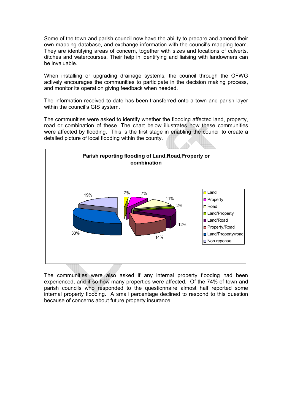Some of the town and parish council now have the ability to prepare and amend their own mapping database, and exchange information with the council's mapping team. They are identifying areas of concern, together with sizes and locations of culverts, ditches and watercourses. Their help in identifying and liaising with landowners can be invaluable.

When installing or upgrading drainage systems, the council through the OFWG actively encourages the communities to participate in the decision making process, and monitor its operation giving feedback when needed.

The information received to date has been transferred onto a town and parish layer within the council's GIS system.

The communities were asked to identify whether the flooding affected land, property, road or combination of these. The chart below illustrates how these communities were affected by flooding. This is the first stage in enabling the council to create a detailed picture of local flooding within the county.



The communities were also asked if any internal property flooding had been experienced, and if so how many properties were affected. Of the 74% of town and parish councils who responded to the questionnaire almost half reported some internal property flooding. A small percentage declined to respond to this question because of concerns about future property insurance.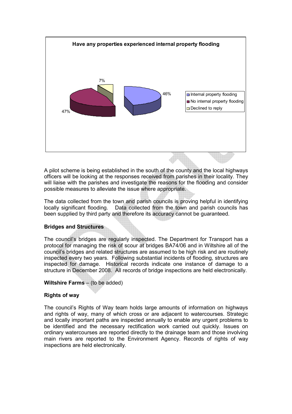

A pilot scheme is being established in the south of the county and the local highways officers will be looking at the responses received from parishes in their locality. They will liaise with the parishes and investigate the reasons for the flooding and consider possible measures to alleviate the issue where appropriate.

The data collected from the town and parish councils is proving helpful in identifying locally significant flooding. Data collected from the town and parish councils has been supplied by third party and therefore its accuracy cannot be guaranteed.

#### Bridges and Structures

The council's bridges are regularly inspected. The Department for Transport has a protocol for managing the risk of scour at bridges BA74/06 and in Wiltshire all of the council's bridges and related structures are assumed to be high risk and are routinely inspected every two years. Following substantial incidents of flooding, structures are inspected for damage. Historical records indicate one instance of damage to a structure in December 2008. All records of bridge inspections are held electronically.

#### Wiltshire Farms – (to be added)

#### Rights of way

The council's Rights of Way team holds large amounts of information on highways and rights of way, many of which cross or are adjacent to watercourses. Strategic and locally important paths are inspected annually to enable any urgent problems to be identified and the necessary rectification work carried out quickly. Issues on ordinary watercourses are reported directly to the drainage team and those involving main rivers are reported to the Environment Agency. Records of rights of way inspections are held electronically.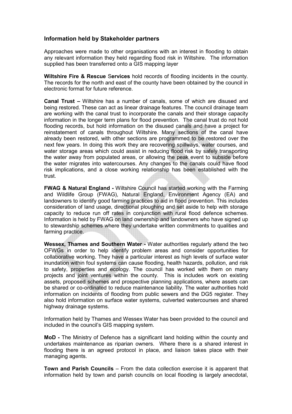#### Information held by Stakeholder partners

Approaches were made to other organisations with an interest in flooding to obtain any relevant information they held regarding flood risk in Wiltshire. The information supplied has been transferred onto a GIS mapping layer

Wiltshire Fire & Rescue Services hold records of flooding incidents in the county. The records for the north and east of the county have been obtained by the council in electronic format for future reference.

Canal Trust – Wiltshire has a number of canals, some of which are disused and being restored. These can act as linear drainage features. The council drainage team are working with the canal trust to incorporate the canals and their storage capacity information in the longer term plans for flood prevention. The canal trust do not hold flooding records, but hold information on the disused canals and have a project for reinstatement of canals throughout Wiltshire. Many sections of the canal have already been restored, with other sections are programmed to be restored over the next few years. In doing this work they are recovering spillways, water courses, and water storage areas which could assist in reducing flood risk by safely transporting the water away from populated areas, or allowing the peak event to subside before the water migrates into watercourses. Any changes to the canals could have flood risk implications, and a close working relationship has been established with the trust.

FWAG & Natural England - Wiltshire Council has started working with the Farming and Wildlife Group (FWAG), Natural England, Environment Agency (EA) and landowners to identify good farming practices to aid in flood prevention. This includes consideration of land usage, directional ploughing and set aside to help with storage capacity to reduce run off rates in conjunction with rural flood defence schemes. Information is held by FWAG on land ownership and landowners who have signed up to stewardship schemes where they undertake written commitments to qualities and farming practice.

Wessex, Thames and Southern Water - Water authorities regularly attend the two OFWGs in order to help identify problem areas and consider opportunities for collaborative working. They have a particular interest as high levels of surface water inundation within foul systems can cause flooding, health hazards, pollution, and risk to safety, properties and ecology. The council has worked with them on many projects and joint ventures within the county. This is includes work on existing assets, proposed schemes and prospective planning applications, where assets can be shared or co-ordinated to reduce maintenance liability. The water authorities hold information on incidents of flooding from public sewers and the DG5 register. They also hold information on surface water systems, culverted watercourses and shared highway drainage systems.

Information held by Thames and Wessex Water has been provided to the council and included in the council's GIS mapping system.

MoD - The Ministry of Defence has a significant land holding within the county and undertakes maintenance as riparian owners. Where there is a shared interest in flooding there is an agreed protocol in place, and liaison takes place with their managing agents.

Town and Parish Councils – From the data collection exercise it is apparent that information held by town and parish councils on local flooding is largely anecdotal,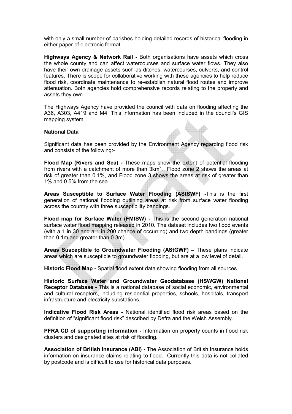with only a small number of parishes holding detailed records of historical flooding in either paper of electronic format.

Highways Agency & Network Rail - Both organisations have assets which cross the whole county and can affect watercourses and surface water flows. They also have their own drainage assets such as ditches, watercourses, culverts, and control features. There is scope for collaborative working with these agencies to help reduce flood risk, coordinate maintenance to re-establish natural flood routes and improve attenuation. Both agencies hold comprehensive records relating to the property and assets they own.

The Highways Agency have provided the council with data on flooding affecting the A36, A303, A419 and M4. This information has been included in the council's GIS mapping system.

#### National Data

Significant data has been provided by the Environment Agency regarding flood risk and consists of the following:-

Flood Map (Rivers and Sea) - These maps show the extent of potential flooding from rivers with a catchment of more than  $3km^2$ . Flood zone 2 shows the areas at risk of greater than 0.1%, and Flood zone 3 shows the areas at risk of greater than 1% and 0.5% from the sea.

Areas Susceptible to Surface Water Flooding (AStSWF) -This is the first generation of national flooding outlining areas at risk from surface water flooding across the country with three susceptibility bandings.

Flood map for Surface Water (FMfSW) - This is the second generation national surface water flood mapping released in 2010. The dataset includes two flood events (with a 1 in 30 and a 1 in 200 chance of occurring) and two depth bandings (greater than 0.1m and greater than 0.3m).

Areas Susceptible to Groundwater Flooding (AStGWF) – These plans indicate areas which are susceptible to groundwater flooding, but are at a low level of detail.

Historic Flood Map - Spatial flood extent data showing flooding from all sources

Historic Surface Water and Groundwater Geodatabase (HSWGW) National Receptor Database - This is a national database of social economic, environmental and cultural receptors, including residential properties, schools, hospitals, transport infrastructure and electricity substations.

Indicative Flood Risk Areas - National identified flood risk areas based on the definition of "significant flood risk" described by Defra and the Welsh Assembly.

PFRA CD of supporting information - Information on property counts in flood risk clusters and designated sites at risk of flooding.

Association of British Insurance (ABI) - The Association of British Insurance holds information on insurance claims relating to flood. Currently this data is not collated by postcode and is difficult to use for historical data purposes.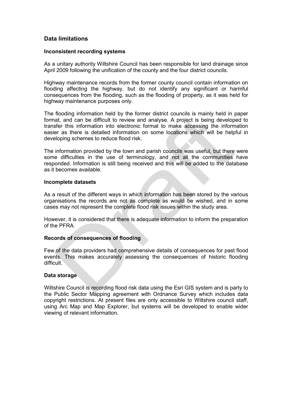#### Data limitations

#### Inconsistent recording systems

As a unitary authority Wiltshire Council has been responsible for land drainage since April 2009 following the unification of the county and the four district councils.

Highway maintenance records from the former county council contain information on flooding affecting the highway, but do not identify any significant or harmful consequences from the flooding, such as the flooding of property, as it was held for highway maintenance purposes only.

The flooding information held by the former district councils is mainly held in paper format, and can be difficult to review and analyse. A project is being developed to transfer this information into electronic format to make accessing the information easier as there is detailed information on some locations which will be helpful in developing schemes to reduce flood risk.

The information provided by the town and parish councils was useful, but there were some difficulties in the use of terminology, and not all the communities have responded. Information is still being received and this will be added to the database as it becomes available.

#### Incomplete datasets

As a result of the different ways in which information has been stored by the various organisations the records are not as complete as would be wished, and in some cases may not represent the complete flood risk issues within the study area.

However, it is considered that there is adequate information to inform the preparation of the PFRA.

#### Records of consequences of flooding

Few of the data providers had comprehensive details of consequences for past flood events. This makes accurately assessing the consequences of historic flooding difficult.

#### Data storage

Wiltshire Council is recording flood risk data using the Esri GIS system and is party to the Public Sector Mapping agreement with Ordnance Survey which includes data copyright restrictions. At present files are only accessible to Wiltshire council staff, using Arc Map and Map Explorer, but systems will be developed to enable wider viewing of relevant information.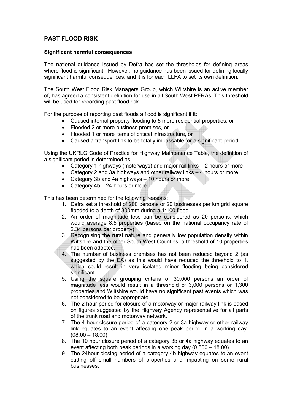#### PAST FLOOD RISK

#### Significant harmful consequences

The national guidance issued by Defra has set the thresholds for defining areas where flood is significant. However, no guidance has been issued for defining locally significant harmful consequences, and it is for each LLFA to set its own definition.

The South West Flood Risk Managers Group, which Wiltshire is an active member of, has agreed a consistent definition for use in all South West PFRAs. This threshold will be used for recording past flood risk.

For the purpose of reporting past floods a flood is significant if it:

- Caused internal property flooding to 5 more residential properties, or
- Flooded 2 or more business premises, or
- Flooded 1 or more items of critical infrastructure, or
- Caused a transport link to be totally impassable for a significant period.

Using the UKRLG Code of Practice for Highway Maintenance Table, the definition of a significant period is determined as:

- Category 1 highways (motorways) and major rail links 2 hours or more
- Category 2 and 3a highways and other railway links 4 hours or more
- Category 3b and 4a highways 10 hours or more
- Category 4b 24 hours or more.

This has been determined for the following reasons:

- 1. Defra set a threshold of 200 persons or 20 businesses per km grid square flooded to a depth of 300mm during a 1:100 flood.
- 2. An order of magnitude less can be considered as 20 persons, which would average 8.5 properties (based on the national occupancy rate of 2.34 persons per property)
- 3. Recognising the rural nature and generally low population density within Wiltshire and the other South West Counties, a threshold of 10 properties has been adopted.
- 4. The number of business premises has not been reduced beyond 2 (as suggested by the EA) as this would have reduced the threshold to 1, which could result in very isolated minor flooding being considered significant.
- 5. Using the square grouping criteria of 30,000 persons an order of magnitude less would result in a threshold of 3,000 persons or 1,300 properties and Wiltshire would have no significant past events which was not considered to be appropriate.
- 6. The 2 hour period for closure of a motorway or major railway link is based on figures suggested by the Highway Agency representative for all parts of the trunk road and motorway network.
- 7. The 4 hour closure period of a category 2 or 3a highway or other railway link equates to an event affecting one peak period in a working day.  $(08.00 - 18.00)$
- 8. The 10 hour closure period of a category 3b or 4a highway equates to an event affecting both peak periods in a working day (0.800 – 18.00)
- 9. The 24hour closing period of a category 4b highway equates to an event cutting off small numbers of properties and impacting on some rural businesses.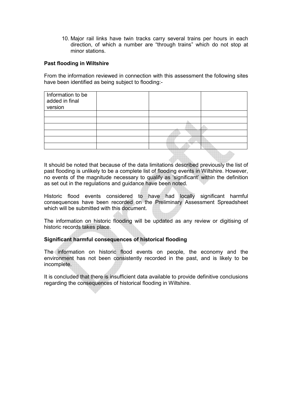10. Major rail links have twin tracks carry several trains per hours in each direction, of which a number are "through trains" which do not stop at minor stations.

#### Past flooding in Wiltshire

From the information reviewed in connection with this assessment the following sites have been identified as being subject to flooding:-

| Information to be<br>added in final<br>version |  |  |
|------------------------------------------------|--|--|
|                                                |  |  |
|                                                |  |  |
|                                                |  |  |
|                                                |  |  |
|                                                |  |  |
|                                                |  |  |
|                                                |  |  |

It should be noted that because of the data limitations described previously the list of past flooding is unlikely to be a complete list of flooding events in Wiltshire. However, no events of the magnitude necessary to qualify as 'significant' within the definition as set out in the regulations and guidance have been noted.

Historic flood events considered to have had locally significant harmful consequences have been recorded on the Preliminary Assessment Spreadsheet which will be submitted with this document.

The information on historic flooding will be updated as any review or digitising of historic records takes place.

#### Significant harmful consequences of historical flooding

The information on historic flood events on people, the economy and the environment has not been consistently recorded in the past, and is likely to be incomplete.

It is concluded that there is insufficient data available to provide definitive conclusions regarding the consequences of historical flooding in Wiltshire.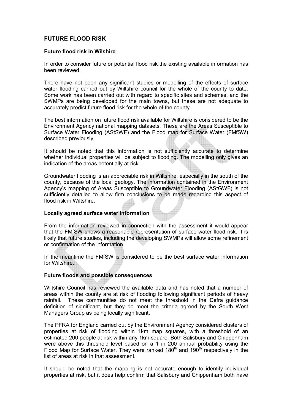#### FUTURE FLOOD RISK

#### Future flood risk in Wilshire

In order to consider future or potential flood risk the existing available information has been reviewed.

There have not been any significant studies or modelling of the effects of surface water flooding carried out by Wiltshire council for the whole of the county to date. Some work has been carried out with regard to specific sites and schemes, and the SWMPs are being developed for the main towns, but these are not adequate to accurately predict future flood risk for the whole of the county.

The best information on future flood risk available for Wiltshire is considered to be the Environment Agency national mapping datasets. These are the Areas Susceptible to Surface Water Flooding (AStSWF) and the Flood map for Surface Water (FMfSW) described previously.

It should be noted that this information is not sufficiently accurate to determine whether individual properties will be subject to flooding. The modelling only gives an indication of the areas potentially at risk.

Groundwater flooding is an appreciable risk in Wiltshire, especially in the south of the county, because of the local geology. The information contained in the Environment Agency's mapping of Areas Susceptible to Groundwater Flooding (AStGWF) is not sufficiently detailed to allow firm conclusions to be made regarding this aspect of flood risk in Wiltshire.

#### Locally agreed surface water Information

From the information reviewed in connection with the assessment it would appear that the FMfSW shows a reasonable representation of surface water flood risk. It is likely that future studies, including the developing SWMPs will allow some refinement or confirmation of the information.

In the meantime the FMfSW is considered to be the best surface water information for Wiltshire.

#### Future floods and possible consequences

Wiltshire Council has reviewed the available data and has noted that a number of areas within the county are at risk of flooding following significant periods of heavy rainfall. These communities do not meet the threshold in the Defra guidance definition of significant, but they do meet the criteria agreed by the South West Managers Group as being locally significant.

The PFRA for England carried out by the Environment Agency considered clusters of properties at risk of flooding within 1km map squares, with a threshold of an estimated 200 people at risk within any 1km square. Both Salisbury and Chippenham were above this threshold level based on a 1 in 200 annual probability using the Flood Map for Surface Water. They were ranked  $180<sup>th</sup>$  and  $190<sup>th</sup>$  respectively in the list of areas at risk in that assessment.

It should be noted that the mapping is not accurate enough to identify individual properties at risk, but it does help confirm that Salisbury and Chippenham both have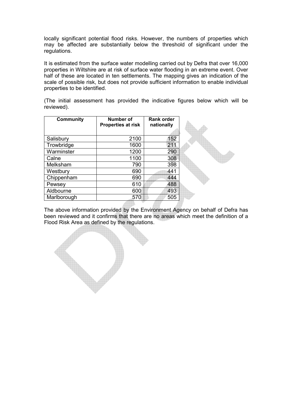locally significant potential flood risks. However, the numbers of properties which may be affected are substantially below the threshold of significant under the regulations.

It is estimated from the surface water modelling carried out by Defra that over 16,000 properties in Wiltshire are at risk of surface water flooding in an extreme event. Over half of these are located in ten settlements. The mapping gives an indication of the scale of possible risk, but does not provide sufficient information to enable individual properties to be identified.

(The initial assessment has provided the indicative figures below which will be reviewed).

| <b>Community</b> | <b>Number of</b><br><b>Properties at risk</b> | <b>Rank order</b><br>nationally |  |
|------------------|-----------------------------------------------|---------------------------------|--|
|                  |                                               |                                 |  |
| Salisbury        | 2100                                          | 152                             |  |
| Trowbridge       | 1600                                          | 211                             |  |
| Warminster       | 1200                                          | 290                             |  |
| Calne            | 1100                                          | 308                             |  |
| Melksham         | 790                                           | 398                             |  |
| Westbury         | 690                                           | 441                             |  |
| Chippenham       | 690                                           | 444                             |  |
| Pewsey           | 610                                           | 488                             |  |
| Aldbourne        | 600                                           | 493                             |  |
| Marlborough      | 570                                           | 505                             |  |

The above information provided by the Environment Agency on behalf of Defra has been reviewed and it confirms that there are no areas which meet the definition of a Flood Risk Area as defined by the regulations.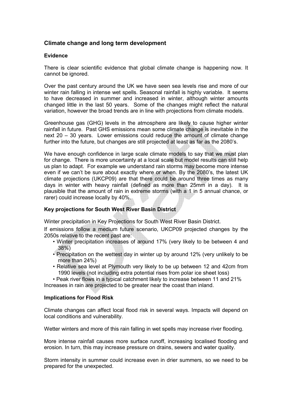#### Climate change and long term development

#### Evidence

There is clear scientific evidence that global climate change is happening now. It cannot be ignored.

Over the past century around the UK we have seen sea levels rise and more of our winter rain falling in intense wet spells. Seasonal rainfall is highly variable. It seems to have decreased in summer and increased in winter, although winter amounts changed little in the last 50 years. Some of the changes might reflect the natural variation, however the broad trends are in line with projections from climate models.

Greenhouse gas (GHG) levels in the atmosphere are likely to cause higher winter rainfall in future. Past GHS emissions mean some climate change is inevitable in the next 20 – 30 years. Lower emissions could reduce the amount of climate change further into the future, but changes are still projected at least as far as the 2080's.

We have enough confidence in large scale climate models to say that we must plan for change. There is more uncertainty at a local scale but model results can still help us plan to adapt. For example we understand rain storms may become more intense even if we can't be sure about exactly where or when. By the 2080's, the latest UK climate projections (UKCP09) are that there could be around three times as many days in winter with heavy rainfall (defined as more than 25mm in a day). It is plausible that the amount of rain in extreme storms (with a 1 in 5 annual chance, or rarer) could increase locally by 40%.

#### Key projections for South West River Basin District

Winter precipitation in Key Projections for South West River Basin District.

If emissions follow a medium future scenario, UKCP09 projected changes by the 2050s relative to the recent past are:

- Winter precipitation increases of around 17% (very likely to be between 4 and 38%)
- Precipitation on the wettest day in winter up by around 12% (very unlikely to be more than 24%)
- Relative sea level at Plymouth very likely to be up between 12 and 42cm from 1990 levels (not including extra potential rises from polar ice sheet loss)
- Peak river flows in a typical catchment likely to increase between 11 and 21% Increases in rain are projected to be greater near the coast than inland.

#### Implications for Flood Risk

Climate changes can affect local flood risk in several ways. Impacts will depend on local conditions and vulnerability.

Wetter winters and more of this rain falling in wet spells may increase river flooding.

More intense rainfall causes more surface runoff, increasing localised flooding and erosion. In turn, this may increase pressure on drains, sewers and water quality.

Storm intensity in summer could increase even in drier summers, so we need to be prepared for the unexpected.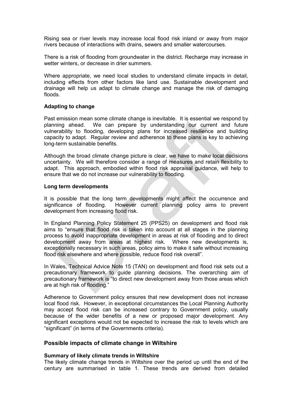Rising sea or river levels may increase local flood risk inland or away from major rivers because of interactions with drains, sewers and smaller watercourses.

There is a risk of flooding from groundwater in the district. Recharge may increase in wetter winters, or decrease in drier summers.

Where appropriate, we need local studies to understand climate impacts in detail, including effects from other factors like land use. Sustainable development and drainage will help us adapt to climate change and manage the risk of damaging floods.

#### Adapting to change

Past emission mean some climate change is inevitable. It is essential we respond by planning ahead. We can prepare by understanding our current and future vulnerability to flooding, developing plans for increased resilience and building capacity to adapt. Regular review and adherence to these plans is key to achieving long-term sustainable benefits.

Although the broad climate change picture is clear, we have to make local decisions uncertainty. We will therefore consider a range of measures and retain flexibility to adapt. This approach, embodied within flood risk appraisal guidance, will help to ensure that we do not increase our vulnerability to flooding.

#### Long term developments

It is possible that the long term developments might affect the occurrence and significance of flooding. However current planning policy aims to prevent development from increasing flood risk.

In England Planning Policy Statement 25 (PPS25) on development and flood risk aims to "ensure that flood risk is taken into account at all stages in the planning process to avoid inappropriate development in areas at risk of flooding and to direct development away from areas at highest risk. Where new developments is, exceptionally necessary in such areas, policy aims to make it safe without increasing flood risk elsewhere and where possible, reduce flood risk overall".

In Wales, Technical Advice Note 15 (TAN) on development and flood risk sets out a precautionary framework to guide planning decisions. The overarching aim of precautionary framework is "to direct new development away from those areas which are at high risk of flooding."

Adherence to Government policy ensures that new development does not increase local flood risk. However, in exceptional circumstances the Local Planning Authority may accept flood risk can be increased contrary to Government policy, usually because of the wider benefits of a new or proposed major development. Any significant exceptions would not be expected to increase the risk to levels which are "significant" (in terms of the Governments criteria).

#### Possible impacts of climate change in Wiltshire

#### Summary of likely climate trends in Wiltshire

The likely climate change trends in Wiltshire over the period up until the end of the century are summarised in table 1. These trends are derived from detailed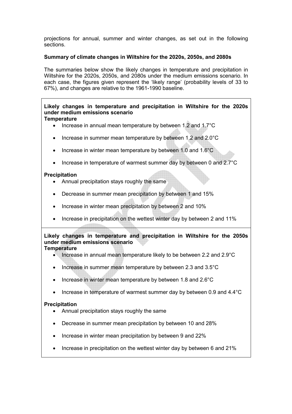projections for annual, summer and winter changes, as set out in the following sections.

#### Summary of climate changes in Wiltshire for the 2020s, 2050s, and 2080s

The summaries below show the likely changes in temperature and precipitation in Wiltshire for the 2020s, 2050s, and 2080s under the medium emissions scenario. In each case, the figures given represent the 'likely range' (probability levels of 33 to 67%), and changes are relative to the 1961-1990 baseline.

#### Likely changes in temperature and precipitation in Wiltshire for the 2020s under medium emissions scenario **Temperature**

- Increase in annual mean temperature by between 1.2 and 1.7°C
- Increase in summer mean temperature by between 1.2 and 2.0°C
- Increase in winter mean temperature by between 1.0 and 1.6°C
- Increase in temperature of warmest summer day by between 0 and 2.7°C

#### Precipitation

- Annual precipitation stays roughly the same
- Decrease in summer mean precipitation by between 1 and 15%
- Increase in winter mean precipitation by between 2 and 10%
- Increase in precipitation on the wettest winter day by between 2 and 11%

#### Likely changes in temperature and precipitation in Wiltshire for the 2050s under medium emissions scenario **Temperature**

#### • Increase in annual mean temperature likely to be between 2.2 and 2.9°C

- Increase in summer mean temperature by between 2.3 and 3.5°C
- Increase in winter mean temperature by between 1.8 and 2.6°C
- Increase in temperature of warmest summer day by between 0.9 and 4.4°C

#### **Precipitation**

- Annual precipitation stays roughly the same
- Decrease in summer mean precipitation by between 10 and 28%
- Increase in winter mean precipitation by between 9 and 22%
- Increase in precipitation on the wettest winter day by between 6 and 21%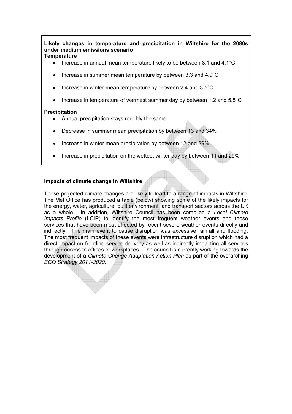Likely changes in temperature and precipitation in Wiltshire for the 2080s under medium emissions scenario **Temperature** 

- Increase in annual mean temperature likely to be between 3.1 and 4.1°C
- Increase in summer mean temperature by between 3.3 and 4.9°C
- Increase in winter mean temperature by between 2.4 and 3.5°C
- Increase in temperature of warmest summer day by between 1.2 and 5.8°C

#### Precipitation

- Annual precipitation stays roughly the same
- Decrease in summer mean precipitation by between 13 and 34%
- Increase in winter mean precipitation by between 12 and 29%
- Increase in precipitation on the wettest winter day by between 11 and 29%

#### Impacts of climate change in Wiltshire

These projected climate changes are likely to lead to a range of impacts in Wiltshire. The Met Office has produced a table (below) showing some of the likely impacts for the energy, water, agriculture, built environment, and transport sectors across the UK as a whole. In addition, Wiltshire Council has been complied a Local Climate Impacts Profile (LCIP) to identify the most frequent weather events and those services that have been most affected by recent severe weather events directly and indirectly. The main event to cause disruption was excessive rainfall and flooding. The most frequent impacts of these events were infrastructure disruption which had a direct impact on frontline service delivery as well as indirectly impacting all services through access to offices or workplaces. The council is currently working towards the development of a Climate Change Adaptation Action Plan as part of the overarching ECO Strategy 2011-2020.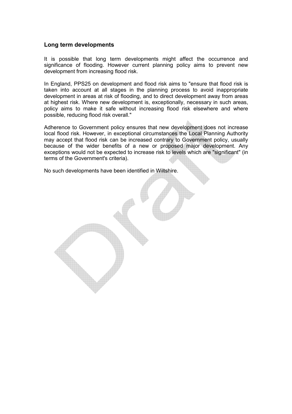#### Long term developments

It is possible that long term developments might affect the occurrence and significance of flooding. However current planning policy aims to prevent new development from increasing flood risk.

In England, PPS25 on development and flood risk aims to "ensure that flood risk is taken into account at all stages in the planning process to avoid inappropriate development in areas at risk of flooding, and to direct development away from areas at highest risk. Where new development is, exceptionally, necessary in such areas, policy aims to make it safe without increasing flood risk elsewhere and where possible, reducing flood risk overall."

Adherence to Government policy ensures that new development does not increase local flood risk. However, in exceptional circumstances the Local Planning Authority may accept that flood risk can be increased contrary to Government policy, usually because of the wider benefits of a new or proposed major development. Any exceptions would not be expected to increase risk to levels which are "significant" (in terms of the Government's criteria).

No such developments have been identified in Wiltshire.